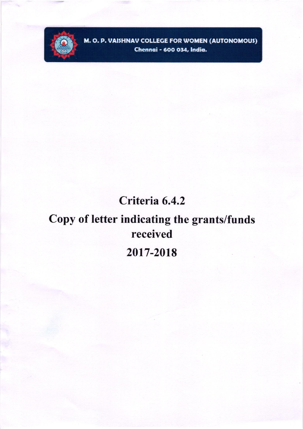

M. O. P. VAISHNAV COLLEGE FOR WOMEN (AUTONOMOUS) Chennai - 600 034, India.

## Criteria 6.4.2

# Copy of letter indicating the grants/funds received 2017-2018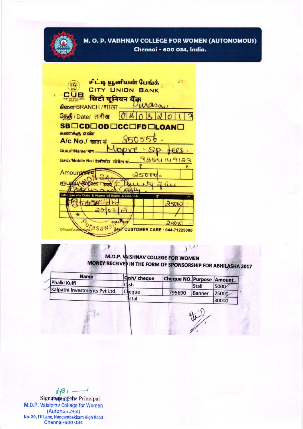

#### M. O. P. VAISHNAV COLLEGE FOR WOMEN (AUTONOMOUS) Chennai - 600 034, India.

சிட்டி யூனியன் பேங்க் 5 CITY UNION BANK **CUB** सिटी यूनियन बैंक  $\lambda \alpha$ so கிளை/BRANCH / शाखा தேதி / Date/ तारीख  $|O|$  & R SBOCDODOCCOFDOLOANO கணக்கு எண்  $950$ 5  $\mathcal{L}$ A/c No./ खाता सं **ОШШП/Name/ नाम.** 9884149123 Gaso/Mobile No./ टेलीफोन मोबैल सं **Amount** 25000 V-Rupees eты रुपये  $250K$ Total 4.8  $2,800$ asaw 24x7 CUSTOMER CARE: 044-71225000 Officer/Cash

### M.O.P. VAISHNAV COLLEGE FOR WOMEN MONEY RECEIVED IN THE FORM OF SPONSORSHIP FOR ABHILASHA 2017

 $\mathcal{V}$ 

4.

| Phalki Kulfi                  | <b>Cash/</b> cheque | Cheque NO. Purpose Amount. |              |       |
|-------------------------------|---------------------|----------------------------|--------------|-------|
|                               | Cish                |                            | <b>Stall</b> | 5000  |
| Kalpathi Investments Pvt Ltd. | eque                | 795690                     | Banner       | 25000 |
|                               | ptal                |                            |              | 30000 |

 $H31 -$ Signature of the Principal M.O.P. Vaishnav College for Women (Autonomeus) No. 20, IV Lane, Nungambakkam High Road Chennai-600 034